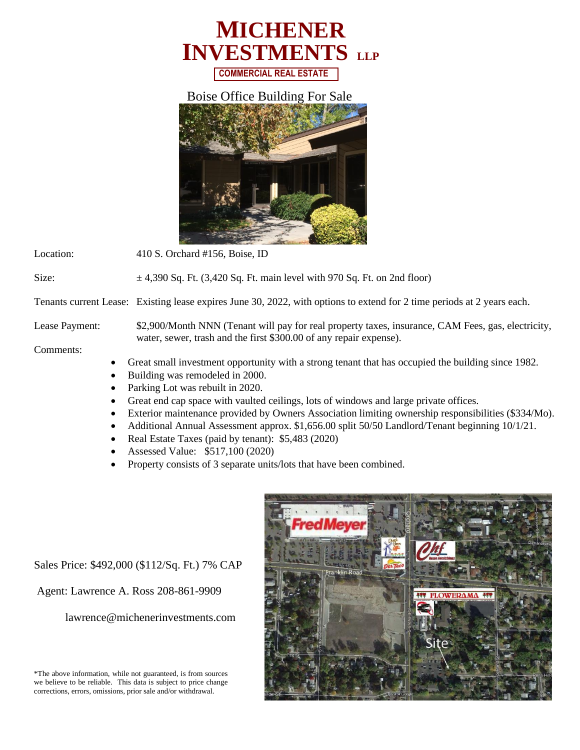

## Boise Office Building For Sale



Location: 410 S. Orchard #156, Boise, ID

Size:  $\pm 4,390$  Sq. Ft.  $(3,420$  Sq. Ft. main level with 970 Sq. Ft. on 2nd floor)

Tenants current Lease: Existing lease expires June 30, 2022, with options to extend for 2 time periods at 2 years each.

Lease Payment: \$2,900/Month NNN (Tenant will pay for real property taxes, insurance, CAM Fees, gas, electricity, water, sewer, trash and the first \$300.00 of any repair expense).

## Comments:

- Great small investment opportunity with a strong tenant that has occupied the building since 1982.
- Building was remodeled in 2000.
- Parking Lot was rebuilt in 2020.
- Great end cap space with vaulted ceilings, lots of windows and large private offices.
- Exterior maintenance provided by Owners Association limiting ownership responsibilities (\$334/Mo).
- Additional Annual Assessment approx. \$1,656.00 split 50/50 Landlord/Tenant beginning 10/1/21.
- Real Estate Taxes (paid by tenant): \$5,483 (2020)
- Assessed Value: \$517,100 (2020)
- Property consists of 3 separate units/lots that have been combined.

Sales Price: \$492,000 (\$112/Sq. Ft.) 7% CAP

Agent: Lawrence A. Ross 208-861-9909

lawrence@michenerinvestments.com

\*The above information, while not guaranteed, is from sources we believe to be reliable. This data is subject to price change corrections, errors, omissions, prior sale and/or withdrawal.